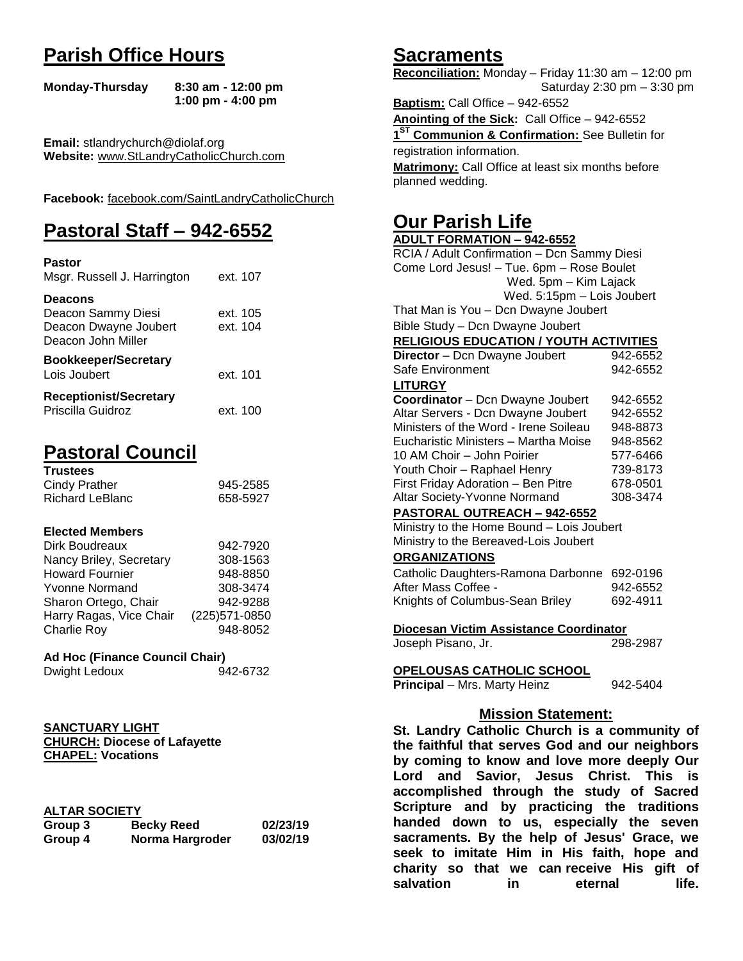# **Parish Office Hours**

```
Monday-Thursday 8:30 am - 12:00 pm
       1:00 pm - 4:00 pm
```
**Email:** stlandrychurch@diolaf.org **Website:** [www.StLandryCatholicChurch.com](http://www.stlandrycatholicchurch.com/)

**Facebook:** [facebook.com/SaintLandryCatholicChurch](http://facebook.com/SaintLandryCatholicChurch)

# **Pastoral Staff – 942-6552**

| <b>Pastor</b><br>Msgr. Russell J. Harrington                                        | ext. 107             |
|-------------------------------------------------------------------------------------|----------------------|
| <b>Deacons</b><br>Deacon Sammy Diesi<br>Deacon Dwayne Joubert<br>Deacon John Miller | ext. 105<br>ext. 104 |
| <b>Bookkeeper/Secretary</b><br>Lois Joubert                                         | ext. 101             |
| <b>Receptionist/Secretary</b><br>Priscilla Guidroz                                  | ext. 100             |

# **Pastoral Council**

| <b>Trustees</b> |          |
|-----------------|----------|
| Cindy Prather   | 945-2585 |
| Richard LeBlanc | 658-5927 |

### **Elected Members**

| Dirk Boudreaux          | 942-7920       |
|-------------------------|----------------|
| Nancy Briley, Secretary | 308-1563       |
| <b>Howard Fournier</b>  | 948-8850       |
| <b>Yvonne Normand</b>   | 308-3474       |
| Sharon Ortego, Chair    | 942-9288       |
| Harry Ragas, Vice Chair | (225) 571-0850 |
| <b>Charlie Roy</b>      | 948-8052       |

## **Ad Hoc (Finance Council Chair)**

```
Dwight Ledoux 942-6732
```
#### **SANCTUARY LIGHT CHURCH: Diocese of Lafayette CHAPEL: Vocations**

## **ALTAR SOCIETY**

| .       |                   |          |
|---------|-------------------|----------|
| Group 3 | <b>Becky Reed</b> | 02/23/19 |
| Group 4 | Norma Hargroder   | 03/02/19 |

# **Sacraments**

**Reconciliation:** Monday – Friday 11:30 am – 12:00 pm Saturday 2:30 pm – 3:30 pm

**Baptism:** Call Office – 942-6552 **Anointing of the Sick:** Call Office – 942-6552 **1 ST Communion & Confirmation:** See Bulletin for registration information. **Matrimony:** Call Office at least six months before planned wedding.

# **Our Parish Life**

| .<br>--                                        |          |  |
|------------------------------------------------|----------|--|
| <b>ADULT FORMATION - 942-6552</b>              |          |  |
| RCIA / Adult Confirmation - Dcn Sammy Diesi    |          |  |
| Come Lord Jesus! - Tue. 6pm - Rose Boulet      |          |  |
| Wed. 5pm - Kim Lajack                          |          |  |
| Wed. 5:15pm - Lois Joubert                     |          |  |
| That Man is You - Dcn Dwayne Joubert           |          |  |
| Bible Study - Dcn Dwayne Joubert               |          |  |
| <b>RELIGIOUS EDUCATION / YOUTH ACTIVITIES</b>  |          |  |
| Director - Dcn Dwayne Joubert                  | 942-6552 |  |
| Safe Environment                               | 942-6552 |  |
| <b>LITURGY</b>                                 |          |  |
| Coordinator - Dcn Dwayne Joubert               | 942-6552 |  |
| Altar Servers - Dcn Dwayne Joubert             | 942-6552 |  |
| Ministers of the Word - Irene Soileau          | 948-8873 |  |
| Eucharistic Ministers - Martha Moise           | 948-8562 |  |
| 10 AM Choir - John Poirier                     | 577-6466 |  |
| Youth Choir - Raphael Henry                    | 739-8173 |  |
| First Friday Adoration - Ben Pitre             | 678-0501 |  |
| Altar Society-Yvonne Normand                   | 308-3474 |  |
| PASTORAL OUTREACH - 942-6552                   |          |  |
| Ministry to the Home Bound - Lois Joubert      |          |  |
| Ministry to the Bereaved-Lois Joubert          |          |  |
| <b>ORGANIZATIONS</b>                           |          |  |
| Catholic Daughters-Ramona Darbonne             | 692-0196 |  |
| After Mass Coffee -                            | 942-6552 |  |
| Knights of Columbus-Sean Briley                | 692-4911 |  |
| Diocesan Victim Assistance Coordinator         |          |  |
| Joseph Pisano, Jr.                             | 298-2987 |  |
| <b>OPELOUSAS CATHOLIC SCHOOL</b>               |          |  |
| Principal - Mrs. Marty Heinz                   | 942-5404 |  |
| <b>Mission Statement:</b>                      |          |  |
| St. Landry Catholic Church is a community of   |          |  |
| the faithful that serves God and our neighbors |          |  |
| by coming to know and love more deeply Our     |          |  |
| Savior, Jesus Christ. This<br>Lord<br>and      | is       |  |
| accomplished through the study of Sacred       |          |  |
| Scripture and by practicing the traditions     |          |  |

**accomplished through the study of Sacred Scripture and by practicing the traditions handed down to us, especially the seven sacraments. By the help of Jesus' Grace, we seek to imitate Him in His faith, hope and charity so that we can receive His gift of salvation in** eternal life.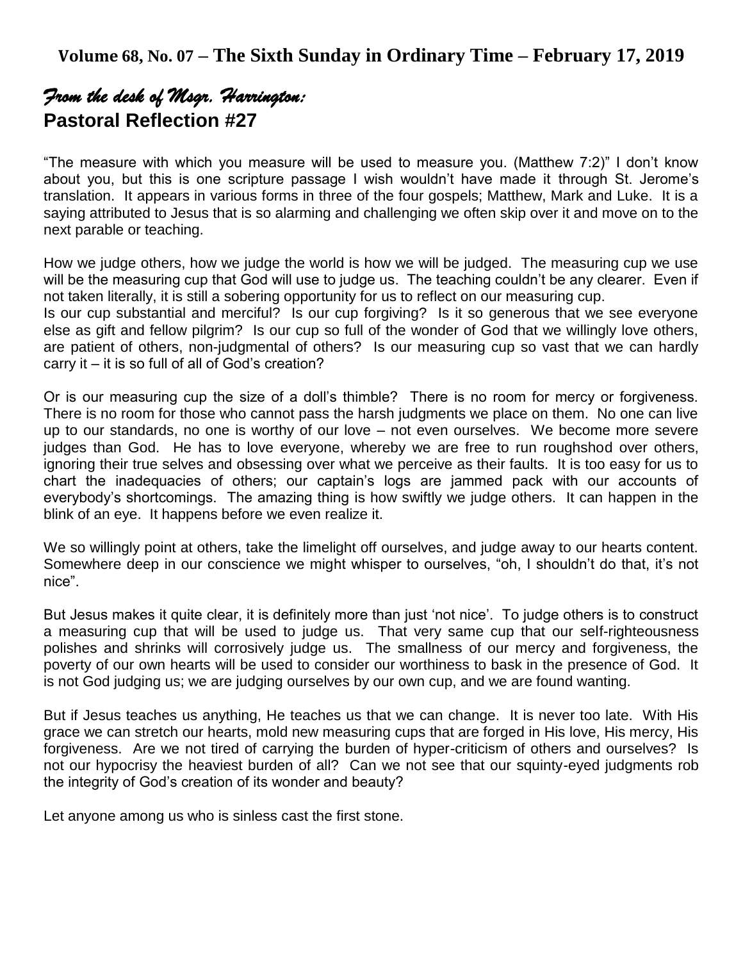# *From the desk of Msgr. Harrington:*  **Pastoral Reflection #27**

"The measure with which you measure will be used to measure you. (Matthew 7:2)" I don't know about you, but this is one scripture passage I wish wouldn't have made it through St. Jerome's translation. It appears in various forms in three of the four gospels; Matthew, Mark and Luke. It is a saying attributed to Jesus that is so alarming and challenging we often skip over it and move on to the next parable or teaching.

How we judge others, how we judge the world is how we will be judged. The measuring cup we use will be the measuring cup that God will use to judge us. The teaching couldn't be any clearer. Even if not taken literally, it is still a sobering opportunity for us to reflect on our measuring cup. Is our cup substantial and merciful? Is our cup forgiving? Is it so generous that we see everyone else as gift and fellow pilgrim? Is our cup so full of the wonder of God that we willingly love others, are patient of others, non-judgmental of others? Is our measuring cup so vast that we can hardly carry it – it is so full of all of God's creation?

Or is our measuring cup the size of a doll's thimble? There is no room for mercy or forgiveness. There is no room for those who cannot pass the harsh judgments we place on them. No one can live up to our standards, no one is worthy of our love – not even ourselves. We become more severe judges than God. He has to love everyone, whereby we are free to run roughshod over others, ignoring their true selves and obsessing over what we perceive as their faults. It is too easy for us to chart the inadequacies of others; our captain's logs are jammed pack with our accounts of everybody's shortcomings. The amazing thing is how swiftly we judge others. It can happen in the blink of an eye. It happens before we even realize it.

We so willingly point at others, take the limelight off ourselves, and judge away to our hearts content. Somewhere deep in our conscience we might whisper to ourselves, "oh, I shouldn't do that, it's not nice".

But Jesus makes it quite clear, it is definitely more than just 'not nice'. To judge others is to construct a measuring cup that will be used to judge us. That very same cup that our self-righteousness polishes and shrinks will corrosively judge us. The smallness of our mercy and forgiveness, the poverty of our own hearts will be used to consider our worthiness to bask in the presence of God. It is not God judging us; we are judging ourselves by our own cup, and we are found wanting.

But if Jesus teaches us anything, He teaches us that we can change. It is never too late. With His grace we can stretch our hearts, mold new measuring cups that are forged in His love, His mercy, His forgiveness. Are we not tired of carrying the burden of hyper-criticism of others and ourselves? Is not our hypocrisy the heaviest burden of all? Can we not see that our squinty-eyed judgments rob the integrity of God's creation of its wonder and beauty?

Let anyone among us who is sinless cast the first stone.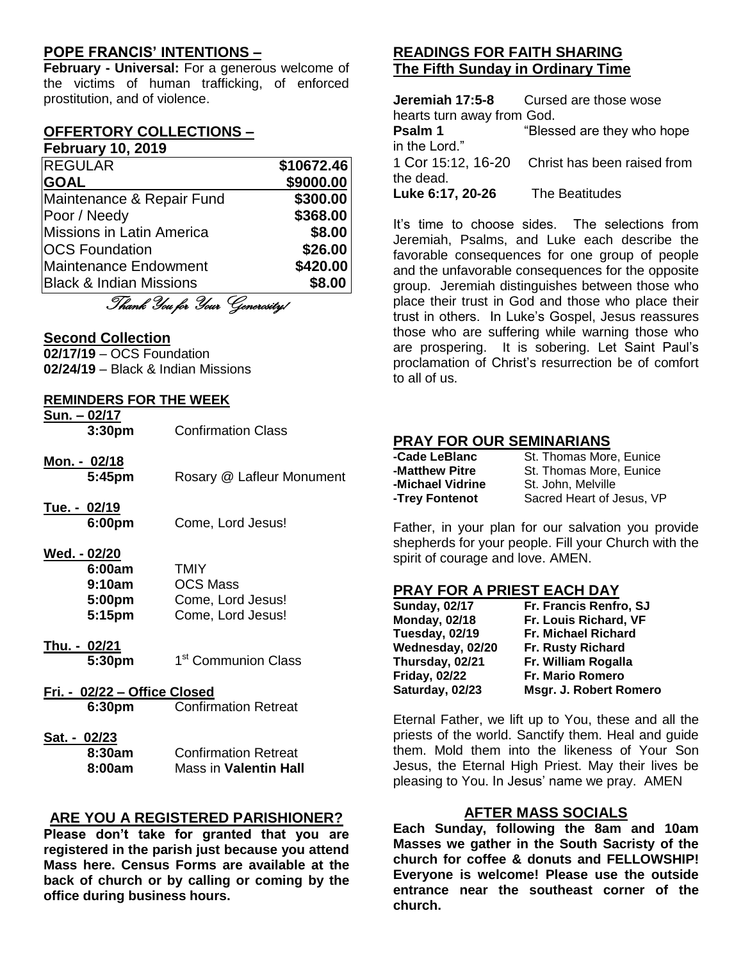## **POPE FRANCIS' INTENTIONS –**

**February - Universal:** For a generous welcome of the victims of human trafficking, of enforced prostitution, and of violence.

#### **OFFERTORY COLLECTIONS – February 10, 2019**

| <b>REGULAR</b>                     | \$10672.46 |
|------------------------------------|------------|
| <b>GOAL</b>                        | \$9000.00  |
| Maintenance & Repair Fund          | \$300.00   |
| Poor / Needy                       | \$368.00   |
| Missions in Latin America          | \$8.00     |
| <b>OCS Foundation</b>              | \$26.00    |
| Maintenance Endowment              | \$420.00   |
| <b>Black &amp; Indian Missions</b> | \$8.00     |

Thank You for Your Generosity!

### **Second Collection**

**02/17/19** – OCS Foundation **02/24/19** – Black & Indian Missions

### **REMINDERS FOR THE WEEK**

| <u>Sun. - 02/17</u><br>3:30 <sub>pm</sub>            | <b>Confirmation Class</b>                                                |
|------------------------------------------------------|--------------------------------------------------------------------------|
| <u> Mon. - 02/18</u><br>5:45pm                       | Rosary @ Lafleur Monument                                                |
| <u>Tue. - 02/19</u><br>6:00pm                        | Come, Lord Jesus!                                                        |
| Wed. - 02/20<br>6:00am<br>9:10am<br>5:00pm<br>5:15pm | <b>TMIY</b><br><b>OCS Mass</b><br>Come, Lord Jesus!<br>Come, Lord Jesus! |
| <u> Thu. - 02/21</u><br>5:30pm                       | 1 <sup>st</sup> Communion Class                                          |
| Fri. - 02/22 – Office Closed<br>6:30pm               | <b>Confirmation Retreat</b>                                              |
| <u>Sat. - 02/23</u><br>8:30am<br>8:00am              | <b>Confirmation Retreat</b><br><b>Mass in Valentin Hall</b>              |

### **ARE YOU A REGISTERED PARISHIONER?**

**Please don't take for granted that you are registered in the parish just because you attend Mass here. Census Forms are available at the back of church or by calling or coming by the office during business hours.**

# **READINGS FOR FAITH SHARING The Fifth Sunday in Ordinary Time**

|                            | <b>Jeremiah 17:5-8</b> Cursed are those wose   |
|----------------------------|------------------------------------------------|
| hearts turn away from God. |                                                |
| Psalm 1                    | "Blessed are they who hope                     |
| in the Lord."              |                                                |
|                            | 1 Cor 15:12, 16-20 Christ has been raised from |
| the dead.                  |                                                |
| Luke 6:17, 20-26           | The Beatitudes                                 |

It's time to choose sides. The selections from Jeremiah, Psalms, and Luke each describe the favorable consequences for one group of people and the unfavorable consequences for the opposite group. Jeremiah distinguishes between those who place their trust in God and those who place their trust in others. In Luke's Gospel, Jesus reassures those who are suffering while warning those who are prospering. It is sobering. Let Saint Paul's proclamation of Christ's resurrection be of comfort to all of us.

### **PRAY FOR OUR SEMINARIANS**

| -Cade LeBlanc    | St. Thomas More, Eunice   |
|------------------|---------------------------|
| -Matthew Pitre   | St. Thomas More, Eunice   |
| -Michael Vidrine | St. John, Melville        |
| -Trey Fontenot   | Sacred Heart of Jesus, VP |

Father, in your plan for our salvation you provide shepherds for your people. Fill your Church with the spirit of courage and love. AMEN.

#### **PRAY FOR A PRIEST EACH DAY**

| <b>Sunday, 02/17</b> | Fr. Francis Renfro, SJ     |
|----------------------|----------------------------|
| <b>Monday, 02/18</b> | Fr. Louis Richard, VF      |
| Tuesday, 02/19       | <b>Fr. Michael Richard</b> |
| Wednesday, 02/20     | <b>Fr. Rusty Richard</b>   |
| Thursday, 02/21      | Fr. William Rogalla        |
| <b>Friday, 02/22</b> | <b>Fr. Mario Romero</b>    |
| Saturday, 02/23      | Msgr. J. Robert Romero     |

Eternal Father, we lift up to You, these and all the priests of the world. Sanctify them. Heal and guide them. Mold them into the likeness of Your Son Jesus, the Eternal High Priest. May their lives be pleasing to You. In Jesus' name we pray. AMEN

### **AFTER MASS SOCIALS**

**Each Sunday, following the 8am and 10am Masses we gather in the South Sacristy of the church for coffee & donuts and FELLOWSHIP! Everyone is welcome! Please use the outside entrance near the southeast corner of the church.**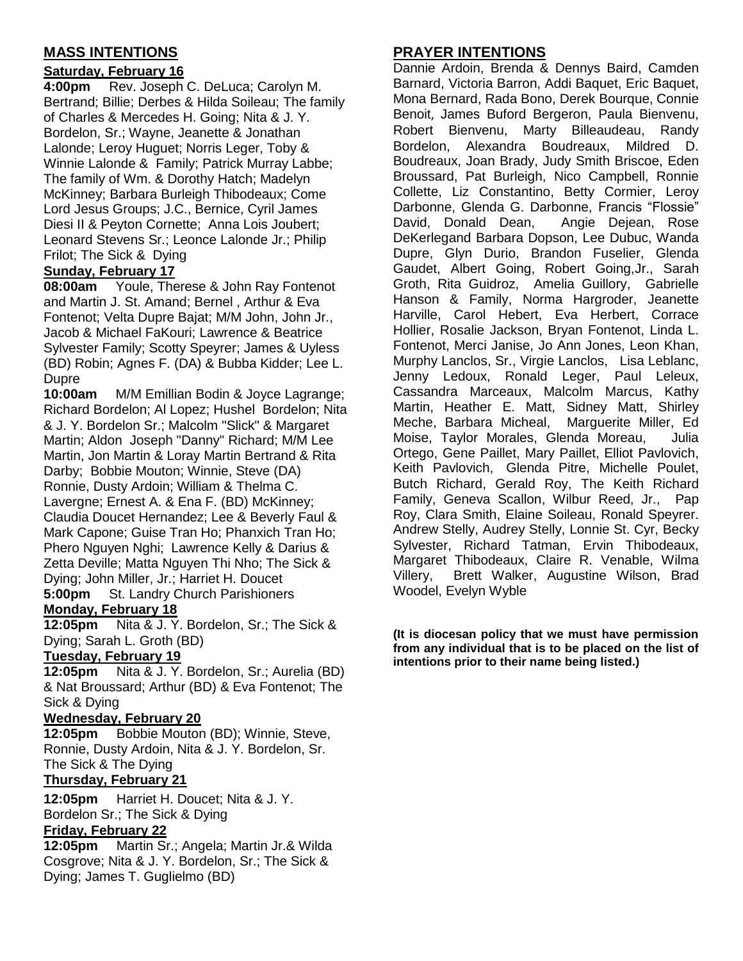# **MASS INTENTIONS**

## **Saturday, February 16**

**4:00pm** Rev. Joseph C. DeLuca; Carolyn M. Bertrand; Billie; Derbes & Hilda Soileau; The family of Charles & Mercedes H. Going; Nita & J. Y. Bordelon, Sr.; Wayne, Jeanette & Jonathan Lalonde; Leroy Huguet; Norris Leger, Toby & Winnie Lalonde & Family; Patrick Murray Labbe; The family of Wm. & Dorothy Hatch; Madelyn McKinney; Barbara Burleigh Thibodeaux; Come Lord Jesus Groups; J.C., Bernice, Cyril James Diesi II & Peyton Cornette; Anna Lois Joubert; Leonard Stevens Sr.; Leonce Lalonde Jr.; Philip Frilot; The Sick & Dying

## **Sunday, February 17**

**08:00am** Youle, Therese & John Ray Fontenot and Martin J. St. Amand; Bernel , Arthur & Eva Fontenot; Velta Dupre Bajat; M/M John, John Jr., Jacob & Michael FaKouri; Lawrence & Beatrice Sylvester Family; Scotty Speyrer; James & Uyless (BD) Robin; Agnes F. (DA) & Bubba Kidder; Lee L. Dupre

**10:00am** M/M Emillian Bodin & Joyce Lagrange; Richard Bordelon; Al Lopez; Hushel Bordelon; Nita & J. Y. Bordelon Sr.; Malcolm "Slick" & Margaret Martin; Aldon Joseph "Danny" Richard; M/M Lee Martin, Jon Martin & Loray Martin Bertrand & Rita Darby; Bobbie Mouton; Winnie, Steve (DA) Ronnie, Dusty Ardoin; William & Thelma C. Lavergne; Ernest A. & Ena F. (BD) McKinney; Claudia Doucet Hernandez; Lee & Beverly Faul & Mark Capone; Guise Tran Ho; Phanxich Tran Ho; Phero Nguyen Nghi; Lawrence Kelly & Darius & Zetta Deville; Matta Nguyen Thi Nho; The Sick & Dying; John Miller, Jr.; Harriet H. Doucet **5:00pm** St. Landry Church Parishioners

### **Monday, February 18**

**12:05pm** Nita & J. Y. Bordelon, Sr.; The Sick & Dying; Sarah L. Groth (BD)

## **Tuesday, February 19**

**12:05pm** Nita & J. Y. Bordelon, Sr.; Aurelia (BD) & Nat Broussard; Arthur (BD) & Eva Fontenot; The Sick & Dying

## **Wednesday, February 20**

**12:05pm** Bobbie Mouton (BD); Winnie, Steve, Ronnie, Dusty Ardoin, Nita & J. Y. Bordelon, Sr. The Sick & The Dying

# **Thursday, February 21**

**12:05pm** Harriet H. Doucet; Nita & J. Y. Bordelon Sr.; The Sick & Dying

### **Friday, February 22**

**12:05pm** Martin Sr.; Angela; Martin Jr.& Wilda Cosgrove; Nita & J. Y. Bordelon, Sr.; The Sick & Dying; James T. Guglielmo (BD)

# **PRAYER INTENTIONS**

Dannie Ardoin, Brenda & Dennys Baird, Camden Barnard, Victoria Barron, Addi Baquet, Eric Baquet, Mona Bernard, Rada Bono, Derek Bourque, Connie Benoit, James Buford Bergeron, Paula Bienvenu, Robert Bienvenu, Marty Billeaudeau, Randy Bordelon, Alexandra Boudreaux, Mildred D. Boudreaux, Joan Brady, Judy Smith Briscoe, Eden Broussard, Pat Burleigh, Nico Campbell, Ronnie Collette, Liz Constantino, Betty Cormier, Leroy Darbonne, Glenda G. Darbonne, Francis "Flossie" David, Donald Dean, Angie Dejean, Rose DeKerlegand Barbara Dopson, Lee Dubuc, Wanda Dupre, Glyn Durio, Brandon Fuselier, Glenda Gaudet, Albert Going, Robert Going,Jr., Sarah Groth, Rita Guidroz, Amelia Guillory, Gabrielle Hanson & Family, Norma Hargroder, Jeanette Harville, Carol Hebert, Eva Herbert, Corrace Hollier, Rosalie Jackson, Bryan Fontenot, Linda L. Fontenot, Merci Janise, Jo Ann Jones, Leon Khan, Murphy Lanclos, Sr., Virgie Lanclos, Lisa Leblanc, Jenny Ledoux, Ronald Leger, Paul Leleux, Cassandra Marceaux, Malcolm Marcus, Kathy Martin, Heather E. Matt, Sidney Matt, Shirley Meche, Barbara Micheal, Marguerite Miller, Ed Moise, Taylor Morales, Glenda Moreau, Julia Ortego, Gene Paillet, Mary Paillet, Elliot Pavlovich, Keith Pavlovich, Glenda Pitre, Michelle Poulet, Butch Richard, Gerald Roy, The Keith Richard Family, Geneva Scallon, Wilbur Reed, Jr., Pap Roy, Clara Smith, Elaine Soileau, Ronald Speyrer. Andrew Stelly, Audrey Stelly, Lonnie St. Cyr, Becky Sylvester, Richard Tatman, Ervin Thibodeaux, Margaret Thibodeaux, Claire R. Venable, Wilma Villery, Brett Walker, Augustine Wilson, Brad Woodel, Evelyn Wyble

#### **(It is diocesan policy that we must have permission from any individual that is to be placed on the list of intentions prior to their name being listed.)**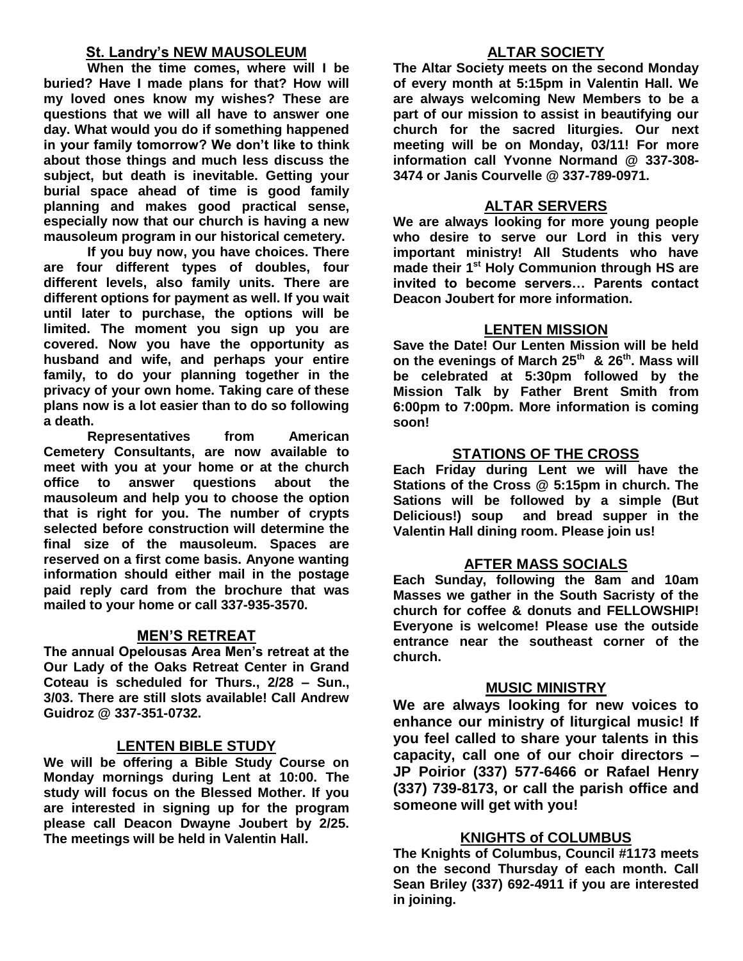## **St. Landry's NEW MAUSOLEUM**

**When the time comes, where will I be buried? Have I made plans for that? How will my loved ones know my wishes? These are questions that we will all have to answer one day. What would you do if something happened in your family tomorrow? We don't like to think about those things and much less discuss the subject, but death is inevitable. Getting your burial space ahead of time is good family planning and makes good practical sense, especially now that our church is having a new mausoleum program in our historical cemetery.**

**If you buy now, you have choices. There are four different types of doubles, four different levels, also family units. There are different options for payment as well. If you wait until later to purchase, the options will be limited. The moment you sign up you are covered. Now you have the opportunity as husband and wife, and perhaps your entire family, to do your planning together in the privacy of your own home. Taking care of these plans now is a lot easier than to do so following a death.**

**Representatives from American Cemetery Consultants, are now available to meet with you at your home or at the church office to answer questions about the mausoleum and help you to choose the option that is right for you. The number of crypts selected before construction will determine the final size of the mausoleum. Spaces are reserved on a first come basis. Anyone wanting information should either mail in the postage paid reply card from the brochure that was mailed to your home or call 337-935-3570.**

## **MEN'S RETREAT**

**The annual Opelousas Area Men's retreat at the Our Lady of the Oaks Retreat Center in Grand Coteau is scheduled for Thurs., 2/28 – Sun., 3/03. There are still slots available! Call Andrew Guidroz @ 337-351-0732.**

### **LENTEN BIBLE STUDY**

**We will be offering a Bible Study Course on Monday mornings during Lent at 10:00. The study will focus on the Blessed Mother. If you are interested in signing up for the program please call Deacon Dwayne Joubert by 2/25. The meetings will be held in Valentin Hall.**

### **ALTAR SOCIETY**

**The Altar Society meets on the second Monday of every month at 5:15pm in Valentin Hall. We are always welcoming New Members to be a part of our mission to assist in beautifying our church for the sacred liturgies. Our next meeting will be on Monday, 03/11! For more information call Yvonne Normand @ 337-308- 3474 or Janis Courvelle @ 337-789-0971.** 

### **ALTAR SERVERS**

**We are always looking for more young people who desire to serve our Lord in this very important ministry! All Students who have made their 1st Holy Communion through HS are invited to become servers… Parents contact Deacon Joubert for more information.**

#### **LENTEN MISSION**

**Save the Date! Our Lenten Mission will be held on the evenings of March 25th & 26th. Mass will be celebrated at 5:30pm followed by the Mission Talk by Father Brent Smith from 6:00pm to 7:00pm. More information is coming soon!**

### **STATIONS OF THE CROSS**

**Each Friday during Lent we will have the Stations of the Cross @ 5:15pm in church. The Sations will be followed by a simple (But Delicious!) soup and bread supper in the Valentin Hall dining room. Please join us!**

### **AFTER MASS SOCIALS**

**Each Sunday, following the 8am and 10am Masses we gather in the South Sacristy of the church for coffee & donuts and FELLOWSHIP! Everyone is welcome! Please use the outside entrance near the southeast corner of the church.** 

#### **MUSIC MINISTRY**

**We are always looking for new voices to enhance our ministry of liturgical music! If you feel called to share your talents in this capacity, call one of our choir directors – JP Poirior (337) 577-6466 or Rafael Henry (337) 739-8173, or call the parish office and someone will get with you!**

### **KNIGHTS of COLUMBUS**

**The Knights of Columbus, Council #1173 meets on the second Thursday of each month. Call Sean Briley (337) 692-4911 if you are interested in joining.**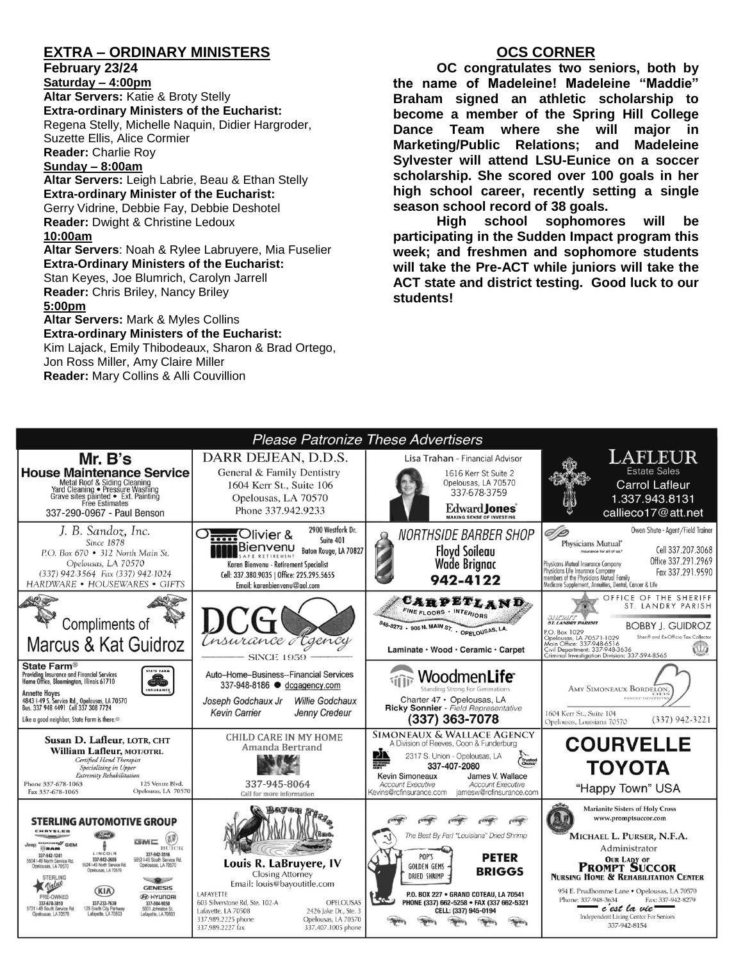# **EXTRA – ORDINARY MINISTERS**

**February 23/24**

**Saturday – 4:00pm Altar Servers:** Katie & Broty Stelly **Extra-ordinary Ministers of the Eucharist:**  Regena Stelly, Michelle Naquin, Didier Hargroder, Suzette Ellis, Alice Cormier **Reader:** Charlie Roy

#### **Sunday – 8:00am**

**Altar Servers:** Leigh Labrie, Beau & Ethan Stelly **Extra-ordinary Minister of the Eucharist:** Gerry Vidrine, Debbie Fay, Debbie Deshotel **Reader:** Dwight & Christine Ledoux **10:00am**

**Altar Servers**: Noah & Rylee Labruyere, Mia Fuselier **Extra-Ordinary Ministers of the Eucharist:** Stan Keyes, Joe Blumrich, Carolyn Jarrell **Reader:** Chris Briley, Nancy Briley **5:00pm** 

#### **Altar Servers:** Mark & Myles Collins **Extra-ordinary Ministers of the Eucharist:**

Kim Lajack, Emily Thibodeaux, Sharon & Brad Ortego, Jon Ross Miller, Amy Claire Miller **Reader:** Mary Collins & Alli Couvillion

## **OCS CORNER**

**OC congratulates two seniors, both by the name of Madeleine! Madeleine "Maddie" Braham signed an athletic scholarship to become a member of the Spring Hill College Dance Team where she will major in Marketing/Public Relations; and Madeleine Sylvester will attend LSU-Eunice on a soccer scholarship. She scored over 100 goals in her high school career, recently setting a single season school record of 38 goals.** 

**High school sophomores will be participating in the Sudden Impact program this week; and freshmen and sophomore students will take the Pre-ACT while juniors will take the ACT state and district testing. Good luck to our students!**